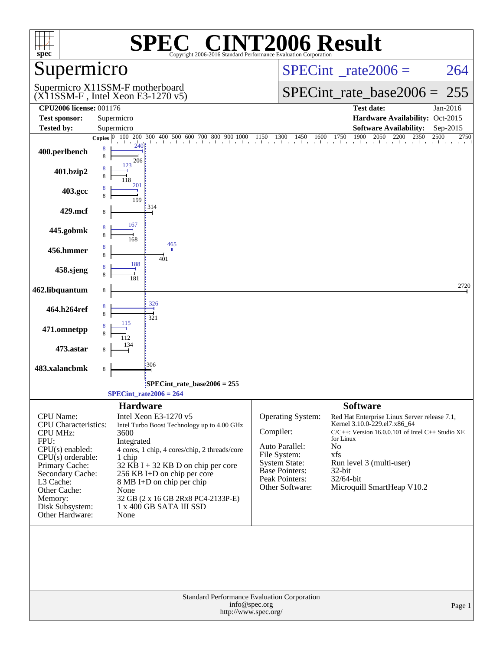| $spec^*$                                                                                                                                                                                                                            | SPE<br>Copyright 2006-2016 Standard Performance Evaluation Corporation                                                                                                                                                                                                                                                                                        | <b>C® CINT2006 Result</b>                                                                                                                                                                                                                                                                                                                                                                                                               |
|-------------------------------------------------------------------------------------------------------------------------------------------------------------------------------------------------------------------------------------|---------------------------------------------------------------------------------------------------------------------------------------------------------------------------------------------------------------------------------------------------------------------------------------------------------------------------------------------------------------|-----------------------------------------------------------------------------------------------------------------------------------------------------------------------------------------------------------------------------------------------------------------------------------------------------------------------------------------------------------------------------------------------------------------------------------------|
| Supermicro                                                                                                                                                                                                                          |                                                                                                                                                                                                                                                                                                                                                               | $SPECint^{\circ}$ <sub>_rate2006</sub> =<br>264                                                                                                                                                                                                                                                                                                                                                                                         |
|                                                                                                                                                                                                                                     | Supermicro X11SSM-F motherboard<br>$(X11SSM-F$ , Intel Xeon E3-1270 v5)                                                                                                                                                                                                                                                                                       | $SPECint$ rate_base2006 =<br>255                                                                                                                                                                                                                                                                                                                                                                                                        |
| <b>CPU2006 license: 001176</b>                                                                                                                                                                                                      |                                                                                                                                                                                                                                                                                                                                                               | <b>Test date:</b><br>Jan-2016                                                                                                                                                                                                                                                                                                                                                                                                           |
| <b>Test sponsor:</b>                                                                                                                                                                                                                | Supermicro                                                                                                                                                                                                                                                                                                                                                    | Hardware Availability: Oct-2015                                                                                                                                                                                                                                                                                                                                                                                                         |
| <b>Tested by:</b>                                                                                                                                                                                                                   | Supermicro                                                                                                                                                                                                                                                                                                                                                    | <b>Software Availability:</b><br>Sep-2015<br>1900<br>2500<br>2750                                                                                                                                                                                                                                                                                                                                                                       |
| 400.perlbench                                                                                                                                                                                                                       | $\frac{1}{240}$<br>8<br>8<br>206                                                                                                                                                                                                                                                                                                                              | <b>Copies</b> $\begin{bmatrix} 0 & 100 & 200 & 300 & 400 & 500 & 600 & 700 & 800 & 900 & 1000 & 1150 & 1300 & 1450 & 1600 & 1750 & 1900 & 2050 & 2200 & 2350 \end{bmatrix}$                                                                                                                                                                                                                                                             |
| 401.bzip2                                                                                                                                                                                                                           | 123                                                                                                                                                                                                                                                                                                                                                           |                                                                                                                                                                                                                                                                                                                                                                                                                                         |
| 403.gcc                                                                                                                                                                                                                             | 201<br>199                                                                                                                                                                                                                                                                                                                                                    |                                                                                                                                                                                                                                                                                                                                                                                                                                         |
| 429.mcf                                                                                                                                                                                                                             | 314                                                                                                                                                                                                                                                                                                                                                           |                                                                                                                                                                                                                                                                                                                                                                                                                                         |
| 445.gobmk                                                                                                                                                                                                                           | 167<br>168                                                                                                                                                                                                                                                                                                                                                    |                                                                                                                                                                                                                                                                                                                                                                                                                                         |
| 456.hmmer                                                                                                                                                                                                                           | 465<br>401                                                                                                                                                                                                                                                                                                                                                    |                                                                                                                                                                                                                                                                                                                                                                                                                                         |
| 458.sjeng                                                                                                                                                                                                                           | 188                                                                                                                                                                                                                                                                                                                                                           |                                                                                                                                                                                                                                                                                                                                                                                                                                         |
| 462.libquantum                                                                                                                                                                                                                      | 8                                                                                                                                                                                                                                                                                                                                                             | 2720                                                                                                                                                                                                                                                                                                                                                                                                                                    |
| 464.h264ref                                                                                                                                                                                                                         | 326<br>321                                                                                                                                                                                                                                                                                                                                                    |                                                                                                                                                                                                                                                                                                                                                                                                                                         |
| 471.omnetpp                                                                                                                                                                                                                         | 115                                                                                                                                                                                                                                                                                                                                                           |                                                                                                                                                                                                                                                                                                                                                                                                                                         |
| 473.astar                                                                                                                                                                                                                           |                                                                                                                                                                                                                                                                                                                                                               |                                                                                                                                                                                                                                                                                                                                                                                                                                         |
| 483.xalancbmk                                                                                                                                                                                                                       | 306<br>8                                                                                                                                                                                                                                                                                                                                                      |                                                                                                                                                                                                                                                                                                                                                                                                                                         |
|                                                                                                                                                                                                                                     | SPECint_rate_base2006 = 255                                                                                                                                                                                                                                                                                                                                   |                                                                                                                                                                                                                                                                                                                                                                                                                                         |
|                                                                                                                                                                                                                                     | $SPECint_rate2006 = 264$                                                                                                                                                                                                                                                                                                                                      |                                                                                                                                                                                                                                                                                                                                                                                                                                         |
| CPU Name:<br><b>CPU</b> Characteristics:<br><b>CPU MHz:</b><br>FPU:<br>$CPU(s)$ enabled:<br>$CPU(s)$ orderable:<br>Primary Cache:<br>Secondary Cache:<br>L3 Cache:<br>Other Cache:<br>Memory:<br>Disk Subsystem:<br>Other Hardware: | <b>Hardware</b><br>Intel Xeon E3-1270 v5<br>Intel Turbo Boost Technology up to 4.00 GHz<br>3600<br>Integrated<br>4 cores, 1 chip, 4 cores/chip, 2 threads/core<br>1 chip<br>$32$ KB I + 32 KB D on chip per core<br>256 KB I+D on chip per core<br>8 MB I+D on chip per chip<br>None<br>32 GB (2 x 16 GB 2Rx8 PC4-2133P-E)<br>1 x 400 GB SATA III SSD<br>None | <b>Software</b><br><b>Operating System:</b><br>Red Hat Enterprise Linux Server release 7.1,<br>Kernel 3.10.0-229.el7.x86_64<br>Compiler:<br>$C/C++$ : Version 16.0.0.101 of Intel $C++$ Studio XE<br>for Linux<br>Auto Parallel:<br>No<br>File System:<br>xfs<br><b>System State:</b><br>Run level 3 (multi-user)<br><b>Base Pointers:</b><br>$32$ -bit<br>Peak Pointers:<br>32/64-bit<br>Microquill SmartHeap V10.2<br>Other Software: |
|                                                                                                                                                                                                                                     | Standard Performance Evaluation Corporation<br>info@spec.org<br>http://www.spec.org/                                                                                                                                                                                                                                                                          | Page 1                                                                                                                                                                                                                                                                                                                                                                                                                                  |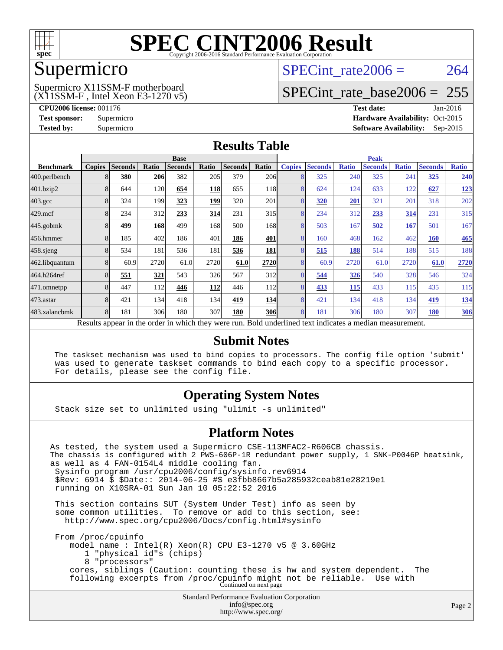

### Supermicro

#### (X11SSM-F , Intel Xeon E3-1270 v5) Supermicro X11SSM-F motherboard

SPECint rate $2006 = 264$ 

### [SPECint\\_rate\\_base2006 =](http://www.spec.org/auto/cpu2006/Docs/result-fields.html#SPECintratebase2006) 255

**[CPU2006 license:](http://www.spec.org/auto/cpu2006/Docs/result-fields.html#CPU2006license)** 001176 **[Test date:](http://www.spec.org/auto/cpu2006/Docs/result-fields.html#Testdate)** Jan-2016 **[Test sponsor:](http://www.spec.org/auto/cpu2006/Docs/result-fields.html#Testsponsor)** Supermicro Supermicro **[Hardware Availability:](http://www.spec.org/auto/cpu2006/Docs/result-fields.html#HardwareAvailability)** Oct-2015 **[Tested by:](http://www.spec.org/auto/cpu2006/Docs/result-fields.html#Testedby)** Supermicro **Supermicro [Software Availability:](http://www.spec.org/auto/cpu2006/Docs/result-fields.html#SoftwareAvailability)** Sep-2015

### **[Results Table](http://www.spec.org/auto/cpu2006/Docs/result-fields.html#ResultsTable)**

|                                                                                                          | <b>Base</b>             |                |            |                |            |                | <b>Peak</b>      |               |                |              |                |              |                |              |
|----------------------------------------------------------------------------------------------------------|-------------------------|----------------|------------|----------------|------------|----------------|------------------|---------------|----------------|--------------|----------------|--------------|----------------|--------------|
| <b>Benchmark</b>                                                                                         | <b>Copies</b>           | <b>Seconds</b> | Ratio      | <b>Seconds</b> | Ratio      | <b>Seconds</b> | Ratio            | <b>Copies</b> | <b>Seconds</b> | <b>Ratio</b> | <b>Seconds</b> | <b>Ratio</b> | <b>Seconds</b> | <b>Ratio</b> |
| 400.perlbench                                                                                            |                         | 380            | <b>206</b> | 382            | 205        | 379            | <b>206</b>       | 8             | 325            | 240          | 325            | 241          | 325            | 240          |
| 401.bzip2                                                                                                |                         | 644            | 120        | 654            | <b>118</b> | 655            | <b>118</b>       | 8             | 624            | 124          | 633            | 122          | 627            | <u>123</u>   |
| $403.\mathrm{gcc}$                                                                                       |                         | 324            | 199        | 323            | 199        | 320            | 201              | 8             | 320            | 201          | 321            | 201          | 318            | 202          |
| $429$ .mcf                                                                                               | 8                       | 234            | 312        | 233            | 314        | 231            | 315              | 8             | 234            | 312          | 233            | 314          | 231            | 315          |
| $445$ .gobm $k$                                                                                          |                         | 499            | <b>168</b> | 499            | 168        | 500            | 168              | 8             | 503            | 167          | 502            | 167          | 501            | 167          |
| 456.hmmer                                                                                                |                         | 185            | 402        | 186            | 401        | 186            | 401              | 8             | 160            | 468          | 162            | 462          | <b>160</b>     | <b>465</b>   |
| $458$ .sjeng                                                                                             | 8                       | 534            | 181        | 536            | 181        | 536            | 181              | 8             | 515            | 188          | 514            | 188          | 515            | 188          |
| 462.libquantum                                                                                           |                         | 60.9           | 2720       | 61.0           | 2720       | 61.0           | 2720             | 8             | 60.9           | 2720         | 61.0           | 2720         | 61.0           | 2720         |
| 464.h264ref                                                                                              |                         | 551            | <u>321</u> | 543            | 326        | 567            | 312              | 8             | 544            | 326          | 540            | 328          | 546            | 324          |
| 471.omnetpp                                                                                              |                         | 447            | 112        | 446            | 112        | 446            | 112 <sup> </sup> | 8             | 433            | 115          | 433            | 115          | 435            | 115          |
| $473$ . astar                                                                                            | $\mathsf{\overline{R}}$ | 421            | 134        | 418            | 134        | 419            | 134              | 8             | 421            | 134          | 418            | 134          | 419            | 134          |
| 483.xalancbmk                                                                                            | 8                       | 181            | 306        | 180            | 307        | 180            | <b>306</b>       | 8             | 181            | 306          | 180            | 307          | 180            | <b>306</b>   |
| Results appear in the order in which they were run. Bold underlined text indicates a median measurement. |                         |                |            |                |            |                |                  |               |                |              |                |              |                |              |

### **[Submit Notes](http://www.spec.org/auto/cpu2006/Docs/result-fields.html#SubmitNotes)**

 The taskset mechanism was used to bind copies to processors. The config file option 'submit' was used to generate taskset commands to bind each copy to a specific processor. For details, please see the config file.

### **[Operating System Notes](http://www.spec.org/auto/cpu2006/Docs/result-fields.html#OperatingSystemNotes)**

Stack size set to unlimited using "ulimit -s unlimited"

### **[Platform Notes](http://www.spec.org/auto/cpu2006/Docs/result-fields.html#PlatformNotes)**

Standard Performance Evaluation Corporation [info@spec.org](mailto:info@spec.org) As tested, the system used a Supermicro CSE-113MFAC2-R606CB chassis. The chassis is configured with 2 PWS-606P-1R redundant power supply, 1 SNK-P0046P heatsink, as well as 4 FAN-0154L4 middle cooling fan. Sysinfo program /usr/cpu2006/config/sysinfo.rev6914 \$Rev: 6914 \$ \$Date:: 2014-06-25 #\$ e3fbb8667b5a285932ceab81e28219e1 running on X10SRA-01 Sun Jan 10 05:22:52 2016 This section contains SUT (System Under Test) info as seen by some common utilities. To remove or add to this section, see: <http://www.spec.org/cpu2006/Docs/config.html#sysinfo> From /proc/cpuinfo model name : Intel(R) Xeon(R) CPU E3-1270 v5 @ 3.60GHz 1 "physical id"s (chips) 8 "processors" cores, siblings (Caution: counting these is hw and system dependent. The following excerpts from /proc/cpuinfo might not be reliable. Use with Continued on next page

<http://www.spec.org/>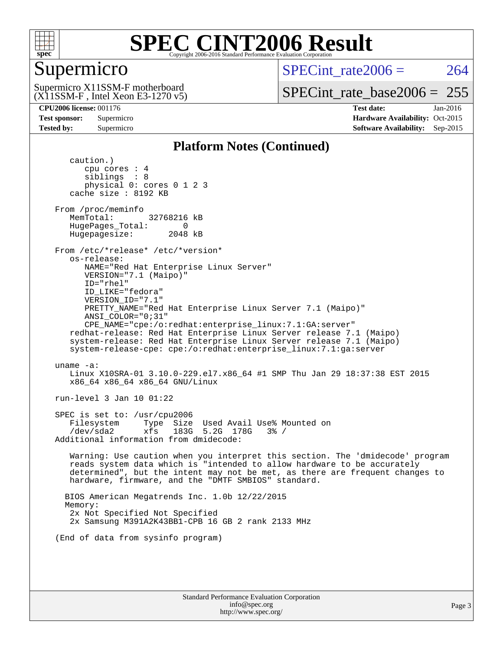

### Supermicro

SPECint rate $2006 = 264$ 

(X11SSM-F , Intel Xeon E3-1270 v5) Supermicro X11SSM-F motherboard

[SPECint\\_rate\\_base2006 =](http://www.spec.org/auto/cpu2006/Docs/result-fields.html#SPECintratebase2006) 255

**[CPU2006 license:](http://www.spec.org/auto/cpu2006/Docs/result-fields.html#CPU2006license)** 001176 **[Test date:](http://www.spec.org/auto/cpu2006/Docs/result-fields.html#Testdate)** Jan-2016 **[Test sponsor:](http://www.spec.org/auto/cpu2006/Docs/result-fields.html#Testsponsor)** Supermicro Supermicro **[Hardware Availability:](http://www.spec.org/auto/cpu2006/Docs/result-fields.html#HardwareAvailability)** Oct-2015 **[Tested by:](http://www.spec.org/auto/cpu2006/Docs/result-fields.html#Testedby)** Supermicro **Supermicro [Software Availability:](http://www.spec.org/auto/cpu2006/Docs/result-fields.html#SoftwareAvailability)** Sep-2015

### **[Platform Notes \(Continued\)](http://www.spec.org/auto/cpu2006/Docs/result-fields.html#PlatformNotes)**

 caution.) cpu cores : 4 siblings : 8 physical 0: cores 0 1 2 3 cache size : 8192 KB From /proc/meminfo MemTotal: 32768216 kB HugePages\_Total: 0<br>Hugepagesize: 2048 kB Hugepagesize: From /etc/\*release\* /etc/\*version\* os-release: NAME="Red Hat Enterprise Linux Server" VERSION="7.1 (Maipo)" ID="rhel" ID\_LIKE="fedora" VERSION\_ID="7.1" PRETTY\_NAME="Red Hat Enterprise Linux Server 7.1 (Maipo)" ANSI\_COLOR="0;31" CPE\_NAME="cpe:/o:redhat:enterprise\_linux:7.1:GA:server" redhat-release: Red Hat Enterprise Linux Server release 7.1 (Maipo) system-release: Red Hat Enterprise Linux Server release 7.1 (Maipo) system-release-cpe: cpe:/o:redhat:enterprise\_linux:7.1:ga:server uname -a: Linux X10SRA-01 3.10.0-229.el7.x86\_64 #1 SMP Thu Jan 29 18:37:38 EST 2015 x86\_64 x86\_64 x86\_64 GNU/Linux run-level 3 Jan 10 01:22 SPEC is set to: /usr/cpu2006 Filesystem Type Size Used Avail Use% Mounted on /dev/sda2 xfs 183G 5.2G 178G 3% / Additional information from dmidecode: Warning: Use caution when you interpret this section. The 'dmidecode' program reads system data which is "intended to allow hardware to be accurately determined", but the intent may not be met, as there are frequent changes to hardware, firmware, and the "DMTF SMBIOS" standard. BIOS American Megatrends Inc. 1.0b 12/22/2015 Memory: 2x Not Specified Not Specified 2x Samsung M391A2K43BB1-CPB 16 GB 2 rank 2133 MHz (End of data from sysinfo program)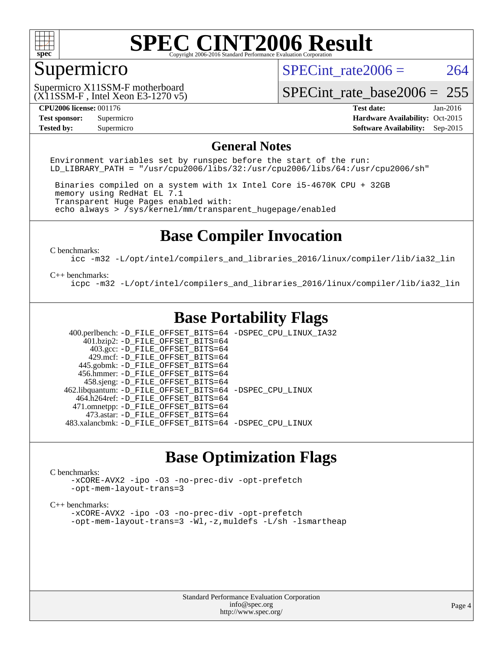

### Supermicro

SPECint rate $2006 = 264$ 

(X11SSM-F , Intel Xeon E3-1270 v5) Supermicro X11SSM-F motherboard

[SPECint\\_rate\\_base2006 =](http://www.spec.org/auto/cpu2006/Docs/result-fields.html#SPECintratebase2006) 255

**[CPU2006 license:](http://www.spec.org/auto/cpu2006/Docs/result-fields.html#CPU2006license)** 001176 **[Test date:](http://www.spec.org/auto/cpu2006/Docs/result-fields.html#Testdate)** Jan-2016 **[Test sponsor:](http://www.spec.org/auto/cpu2006/Docs/result-fields.html#Testsponsor)** Supermicro Supermicro **[Hardware Availability:](http://www.spec.org/auto/cpu2006/Docs/result-fields.html#HardwareAvailability)** Oct-2015 **[Tested by:](http://www.spec.org/auto/cpu2006/Docs/result-fields.html#Testedby)** Supermicro **Supermicro [Software Availability:](http://www.spec.org/auto/cpu2006/Docs/result-fields.html#SoftwareAvailability)** Sep-2015

### **[General Notes](http://www.spec.org/auto/cpu2006/Docs/result-fields.html#GeneralNotes)**

Environment variables set by runspec before the start of the run: LD LIBRARY PATH = "/usr/cpu2006/libs/32:/usr/cpu2006/libs/64:/usr/cpu2006/sh"

 Binaries compiled on a system with 1x Intel Core i5-4670K CPU + 32GB memory using RedHat EL 7.1 Transparent Huge Pages enabled with: echo always > /sys/kernel/mm/transparent\_hugepage/enabled

### **[Base Compiler Invocation](http://www.spec.org/auto/cpu2006/Docs/result-fields.html#BaseCompilerInvocation)**

[C benchmarks](http://www.spec.org/auto/cpu2006/Docs/result-fields.html#Cbenchmarks):

[icc -m32 -L/opt/intel/compilers\\_and\\_libraries\\_2016/linux/compiler/lib/ia32\\_lin](http://www.spec.org/cpu2006/results/res2016q1/cpu2006-20160111-38649.flags.html#user_CCbase_intel_icc_e10256ba5924b668798078a321b0cb3f)

#### [C++ benchmarks:](http://www.spec.org/auto/cpu2006/Docs/result-fields.html#CXXbenchmarks)

[icpc -m32 -L/opt/intel/compilers\\_and\\_libraries\\_2016/linux/compiler/lib/ia32\\_lin](http://www.spec.org/cpu2006/results/res2016q1/cpu2006-20160111-38649.flags.html#user_CXXbase_intel_icpc_b4f50a394bdb4597aa5879c16bc3f5c5)

### **[Base Portability Flags](http://www.spec.org/auto/cpu2006/Docs/result-fields.html#BasePortabilityFlags)**

 400.perlbench: [-D\\_FILE\\_OFFSET\\_BITS=64](http://www.spec.org/cpu2006/results/res2016q1/cpu2006-20160111-38649.flags.html#user_basePORTABILITY400_perlbench_file_offset_bits_64_438cf9856305ebd76870a2c6dc2689ab) [-DSPEC\\_CPU\\_LINUX\\_IA32](http://www.spec.org/cpu2006/results/res2016q1/cpu2006-20160111-38649.flags.html#b400.perlbench_baseCPORTABILITY_DSPEC_CPU_LINUX_IA32)  $401.bzip2: -D$ FILE\_OFFSET\_BITS=64 403.gcc: [-D\\_FILE\\_OFFSET\\_BITS=64](http://www.spec.org/cpu2006/results/res2016q1/cpu2006-20160111-38649.flags.html#user_basePORTABILITY403_gcc_file_offset_bits_64_438cf9856305ebd76870a2c6dc2689ab) 429.mcf: [-D\\_FILE\\_OFFSET\\_BITS=64](http://www.spec.org/cpu2006/results/res2016q1/cpu2006-20160111-38649.flags.html#user_basePORTABILITY429_mcf_file_offset_bits_64_438cf9856305ebd76870a2c6dc2689ab) 445.gobmk: [-D\\_FILE\\_OFFSET\\_BITS=64](http://www.spec.org/cpu2006/results/res2016q1/cpu2006-20160111-38649.flags.html#user_basePORTABILITY445_gobmk_file_offset_bits_64_438cf9856305ebd76870a2c6dc2689ab) 456.hmmer: [-D\\_FILE\\_OFFSET\\_BITS=64](http://www.spec.org/cpu2006/results/res2016q1/cpu2006-20160111-38649.flags.html#user_basePORTABILITY456_hmmer_file_offset_bits_64_438cf9856305ebd76870a2c6dc2689ab) 458.sjeng: [-D\\_FILE\\_OFFSET\\_BITS=64](http://www.spec.org/cpu2006/results/res2016q1/cpu2006-20160111-38649.flags.html#user_basePORTABILITY458_sjeng_file_offset_bits_64_438cf9856305ebd76870a2c6dc2689ab) 462.libquantum: [-D\\_FILE\\_OFFSET\\_BITS=64](http://www.spec.org/cpu2006/results/res2016q1/cpu2006-20160111-38649.flags.html#user_basePORTABILITY462_libquantum_file_offset_bits_64_438cf9856305ebd76870a2c6dc2689ab) [-DSPEC\\_CPU\\_LINUX](http://www.spec.org/cpu2006/results/res2016q1/cpu2006-20160111-38649.flags.html#b462.libquantum_baseCPORTABILITY_DSPEC_CPU_LINUX) 464.h264ref: [-D\\_FILE\\_OFFSET\\_BITS=64](http://www.spec.org/cpu2006/results/res2016q1/cpu2006-20160111-38649.flags.html#user_basePORTABILITY464_h264ref_file_offset_bits_64_438cf9856305ebd76870a2c6dc2689ab) 471.omnetpp: [-D\\_FILE\\_OFFSET\\_BITS=64](http://www.spec.org/cpu2006/results/res2016q1/cpu2006-20160111-38649.flags.html#user_basePORTABILITY471_omnetpp_file_offset_bits_64_438cf9856305ebd76870a2c6dc2689ab) 473.astar: [-D\\_FILE\\_OFFSET\\_BITS=64](http://www.spec.org/cpu2006/results/res2016q1/cpu2006-20160111-38649.flags.html#user_basePORTABILITY473_astar_file_offset_bits_64_438cf9856305ebd76870a2c6dc2689ab) 483.xalancbmk: [-D\\_FILE\\_OFFSET\\_BITS=64](http://www.spec.org/cpu2006/results/res2016q1/cpu2006-20160111-38649.flags.html#user_basePORTABILITY483_xalancbmk_file_offset_bits_64_438cf9856305ebd76870a2c6dc2689ab) [-DSPEC\\_CPU\\_LINUX](http://www.spec.org/cpu2006/results/res2016q1/cpu2006-20160111-38649.flags.html#b483.xalancbmk_baseCXXPORTABILITY_DSPEC_CPU_LINUX)

### **[Base Optimization Flags](http://www.spec.org/auto/cpu2006/Docs/result-fields.html#BaseOptimizationFlags)**

#### [C benchmarks](http://www.spec.org/auto/cpu2006/Docs/result-fields.html#Cbenchmarks):

[-xCORE-AVX2](http://www.spec.org/cpu2006/results/res2016q1/cpu2006-20160111-38649.flags.html#user_CCbase_f-xAVX2_5f5fc0cbe2c9f62c816d3e45806c70d7) [-ipo](http://www.spec.org/cpu2006/results/res2016q1/cpu2006-20160111-38649.flags.html#user_CCbase_f-ipo) [-O3](http://www.spec.org/cpu2006/results/res2016q1/cpu2006-20160111-38649.flags.html#user_CCbase_f-O3) [-no-prec-div](http://www.spec.org/cpu2006/results/res2016q1/cpu2006-20160111-38649.flags.html#user_CCbase_f-no-prec-div) [-opt-prefetch](http://www.spec.org/cpu2006/results/res2016q1/cpu2006-20160111-38649.flags.html#user_CCbase_f-opt-prefetch) [-opt-mem-layout-trans=3](http://www.spec.org/cpu2006/results/res2016q1/cpu2006-20160111-38649.flags.html#user_CCbase_f-opt-mem-layout-trans_a7b82ad4bd7abf52556d4961a2ae94d5)

#### [C++ benchmarks:](http://www.spec.org/auto/cpu2006/Docs/result-fields.html#CXXbenchmarks)

[-xCORE-AVX2](http://www.spec.org/cpu2006/results/res2016q1/cpu2006-20160111-38649.flags.html#user_CXXbase_f-xAVX2_5f5fc0cbe2c9f62c816d3e45806c70d7) [-ipo](http://www.spec.org/cpu2006/results/res2016q1/cpu2006-20160111-38649.flags.html#user_CXXbase_f-ipo) [-O3](http://www.spec.org/cpu2006/results/res2016q1/cpu2006-20160111-38649.flags.html#user_CXXbase_f-O3) [-no-prec-div](http://www.spec.org/cpu2006/results/res2016q1/cpu2006-20160111-38649.flags.html#user_CXXbase_f-no-prec-div) [-opt-prefetch](http://www.spec.org/cpu2006/results/res2016q1/cpu2006-20160111-38649.flags.html#user_CXXbase_f-opt-prefetch) [-opt-mem-layout-trans=3](http://www.spec.org/cpu2006/results/res2016q1/cpu2006-20160111-38649.flags.html#user_CXXbase_f-opt-mem-layout-trans_a7b82ad4bd7abf52556d4961a2ae94d5) [-Wl,-z,muldefs](http://www.spec.org/cpu2006/results/res2016q1/cpu2006-20160111-38649.flags.html#user_CXXbase_link_force_multiple1_74079c344b956b9658436fd1b6dd3a8a) [-L/sh -lsmartheap](http://www.spec.org/cpu2006/results/res2016q1/cpu2006-20160111-38649.flags.html#user_CXXbase_SmartHeap_32f6c82aa1ed9c52345d30cf6e4a0499)

> Standard Performance Evaluation Corporation [info@spec.org](mailto:info@spec.org) <http://www.spec.org/>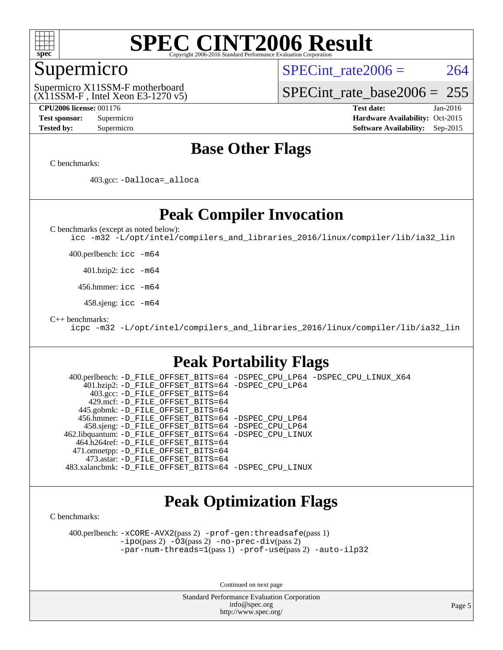

### Supermicro

SPECint rate $2006 = 264$ 

(X11SSM-F , Intel Xeon E3-1270 v5) Supermicro X11SSM-F motherboard

[SPECint\\_rate\\_base2006 =](http://www.spec.org/auto/cpu2006/Docs/result-fields.html#SPECintratebase2006) 255

**[CPU2006 license:](http://www.spec.org/auto/cpu2006/Docs/result-fields.html#CPU2006license)** 001176 **[Test date:](http://www.spec.org/auto/cpu2006/Docs/result-fields.html#Testdate)** Jan-2016 **[Test sponsor:](http://www.spec.org/auto/cpu2006/Docs/result-fields.html#Testsponsor)** Supermicro Supermicro **[Hardware Availability:](http://www.spec.org/auto/cpu2006/Docs/result-fields.html#HardwareAvailability)** Oct-2015 **[Tested by:](http://www.spec.org/auto/cpu2006/Docs/result-fields.html#Testedby)** Supermicro **Supermicro [Software Availability:](http://www.spec.org/auto/cpu2006/Docs/result-fields.html#SoftwareAvailability)** Sep-2015

### **[Base Other Flags](http://www.spec.org/auto/cpu2006/Docs/result-fields.html#BaseOtherFlags)**

[C benchmarks](http://www.spec.org/auto/cpu2006/Docs/result-fields.html#Cbenchmarks):

403.gcc: [-Dalloca=\\_alloca](http://www.spec.org/cpu2006/results/res2016q1/cpu2006-20160111-38649.flags.html#b403.gcc_baseEXTRA_CFLAGS_Dalloca_be3056838c12de2578596ca5467af7f3)

### **[Peak Compiler Invocation](http://www.spec.org/auto/cpu2006/Docs/result-fields.html#PeakCompilerInvocation)**

[C benchmarks \(except as noted below\)](http://www.spec.org/auto/cpu2006/Docs/result-fields.html#Cbenchmarksexceptasnotedbelow):

[icc -m32 -L/opt/intel/compilers\\_and\\_libraries\\_2016/linux/compiler/lib/ia32\\_lin](http://www.spec.org/cpu2006/results/res2016q1/cpu2006-20160111-38649.flags.html#user_CCpeak_intel_icc_e10256ba5924b668798078a321b0cb3f)

400.perlbench: [icc -m64](http://www.spec.org/cpu2006/results/res2016q1/cpu2006-20160111-38649.flags.html#user_peakCCLD400_perlbench_intel_icc_64bit_bda6cc9af1fdbb0edc3795bac97ada53)

401.bzip2: [icc -m64](http://www.spec.org/cpu2006/results/res2016q1/cpu2006-20160111-38649.flags.html#user_peakCCLD401_bzip2_intel_icc_64bit_bda6cc9af1fdbb0edc3795bac97ada53)

456.hmmer: [icc -m64](http://www.spec.org/cpu2006/results/res2016q1/cpu2006-20160111-38649.flags.html#user_peakCCLD456_hmmer_intel_icc_64bit_bda6cc9af1fdbb0edc3795bac97ada53)

458.sjeng: [icc -m64](http://www.spec.org/cpu2006/results/res2016q1/cpu2006-20160111-38649.flags.html#user_peakCCLD458_sjeng_intel_icc_64bit_bda6cc9af1fdbb0edc3795bac97ada53)

[C++ benchmarks:](http://www.spec.org/auto/cpu2006/Docs/result-fields.html#CXXbenchmarks)

[icpc -m32 -L/opt/intel/compilers\\_and\\_libraries\\_2016/linux/compiler/lib/ia32\\_lin](http://www.spec.org/cpu2006/results/res2016q1/cpu2006-20160111-38649.flags.html#user_CXXpeak_intel_icpc_b4f50a394bdb4597aa5879c16bc3f5c5)

### **[Peak Portability Flags](http://www.spec.org/auto/cpu2006/Docs/result-fields.html#PeakPortabilityFlags)**

 400.perlbench: [-D\\_FILE\\_OFFSET\\_BITS=64](http://www.spec.org/cpu2006/results/res2016q1/cpu2006-20160111-38649.flags.html#user_peakPORTABILITY400_perlbench_file_offset_bits_64_438cf9856305ebd76870a2c6dc2689ab) [-DSPEC\\_CPU\\_LP64](http://www.spec.org/cpu2006/results/res2016q1/cpu2006-20160111-38649.flags.html#b400.perlbench_peakCPORTABILITY_DSPEC_CPU_LP64) [-DSPEC\\_CPU\\_LINUX\\_X64](http://www.spec.org/cpu2006/results/res2016q1/cpu2006-20160111-38649.flags.html#b400.perlbench_peakCPORTABILITY_DSPEC_CPU_LINUX_X64) 401.bzip2: [-D\\_FILE\\_OFFSET\\_BITS=64](http://www.spec.org/cpu2006/results/res2016q1/cpu2006-20160111-38649.flags.html#user_peakPORTABILITY401_bzip2_file_offset_bits_64_438cf9856305ebd76870a2c6dc2689ab) [-DSPEC\\_CPU\\_LP64](http://www.spec.org/cpu2006/results/res2016q1/cpu2006-20160111-38649.flags.html#suite_peakCPORTABILITY401_bzip2_DSPEC_CPU_LP64) 403.gcc: [-D\\_FILE\\_OFFSET\\_BITS=64](http://www.spec.org/cpu2006/results/res2016q1/cpu2006-20160111-38649.flags.html#user_peakPORTABILITY403_gcc_file_offset_bits_64_438cf9856305ebd76870a2c6dc2689ab) 429.mcf: [-D\\_FILE\\_OFFSET\\_BITS=64](http://www.spec.org/cpu2006/results/res2016q1/cpu2006-20160111-38649.flags.html#user_peakPORTABILITY429_mcf_file_offset_bits_64_438cf9856305ebd76870a2c6dc2689ab) 445.gobmk: [-D\\_FILE\\_OFFSET\\_BITS=64](http://www.spec.org/cpu2006/results/res2016q1/cpu2006-20160111-38649.flags.html#user_peakPORTABILITY445_gobmk_file_offset_bits_64_438cf9856305ebd76870a2c6dc2689ab) 456.hmmer: [-D\\_FILE\\_OFFSET\\_BITS=64](http://www.spec.org/cpu2006/results/res2016q1/cpu2006-20160111-38649.flags.html#user_peakPORTABILITY456_hmmer_file_offset_bits_64_438cf9856305ebd76870a2c6dc2689ab) [-DSPEC\\_CPU\\_LP64](http://www.spec.org/cpu2006/results/res2016q1/cpu2006-20160111-38649.flags.html#suite_peakCPORTABILITY456_hmmer_DSPEC_CPU_LP64) 458.sjeng: [-D\\_FILE\\_OFFSET\\_BITS=64](http://www.spec.org/cpu2006/results/res2016q1/cpu2006-20160111-38649.flags.html#user_peakPORTABILITY458_sjeng_file_offset_bits_64_438cf9856305ebd76870a2c6dc2689ab) [-DSPEC\\_CPU\\_LP64](http://www.spec.org/cpu2006/results/res2016q1/cpu2006-20160111-38649.flags.html#suite_peakCPORTABILITY458_sjeng_DSPEC_CPU_LP64) 462.libquantum: [-D\\_FILE\\_OFFSET\\_BITS=64](http://www.spec.org/cpu2006/results/res2016q1/cpu2006-20160111-38649.flags.html#user_peakPORTABILITY462_libquantum_file_offset_bits_64_438cf9856305ebd76870a2c6dc2689ab) [-DSPEC\\_CPU\\_LINUX](http://www.spec.org/cpu2006/results/res2016q1/cpu2006-20160111-38649.flags.html#b462.libquantum_peakCPORTABILITY_DSPEC_CPU_LINUX) 464.h264ref: [-D\\_FILE\\_OFFSET\\_BITS=64](http://www.spec.org/cpu2006/results/res2016q1/cpu2006-20160111-38649.flags.html#user_peakPORTABILITY464_h264ref_file_offset_bits_64_438cf9856305ebd76870a2c6dc2689ab) 471.omnetpp: [-D\\_FILE\\_OFFSET\\_BITS=64](http://www.spec.org/cpu2006/results/res2016q1/cpu2006-20160111-38649.flags.html#user_peakPORTABILITY471_omnetpp_file_offset_bits_64_438cf9856305ebd76870a2c6dc2689ab) 473.astar: [-D\\_FILE\\_OFFSET\\_BITS=64](http://www.spec.org/cpu2006/results/res2016q1/cpu2006-20160111-38649.flags.html#user_peakPORTABILITY473_astar_file_offset_bits_64_438cf9856305ebd76870a2c6dc2689ab) 483.xalancbmk: [-D\\_FILE\\_OFFSET\\_BITS=64](http://www.spec.org/cpu2006/results/res2016q1/cpu2006-20160111-38649.flags.html#user_peakPORTABILITY483_xalancbmk_file_offset_bits_64_438cf9856305ebd76870a2c6dc2689ab) [-DSPEC\\_CPU\\_LINUX](http://www.spec.org/cpu2006/results/res2016q1/cpu2006-20160111-38649.flags.html#b483.xalancbmk_peakCXXPORTABILITY_DSPEC_CPU_LINUX)

### **[Peak Optimization Flags](http://www.spec.org/auto/cpu2006/Docs/result-fields.html#PeakOptimizationFlags)**

[C benchmarks](http://www.spec.org/auto/cpu2006/Docs/result-fields.html#Cbenchmarks):

 400.perlbench: [-xCORE-AVX2](http://www.spec.org/cpu2006/results/res2016q1/cpu2006-20160111-38649.flags.html#user_peakPASS2_CFLAGSPASS2_LDCFLAGS400_perlbench_f-xAVX2_5f5fc0cbe2c9f62c816d3e45806c70d7)(pass 2) [-prof-gen:threadsafe](http://www.spec.org/cpu2006/results/res2016q1/cpu2006-20160111-38649.flags.html#user_peakPASS1_CFLAGSPASS1_LDCFLAGS400_perlbench_prof_gen_21a26eb79f378b550acd7bec9fe4467a)(pass 1) [-ipo](http://www.spec.org/cpu2006/results/res2016q1/cpu2006-20160111-38649.flags.html#user_peakPASS2_CFLAGSPASS2_LDCFLAGS400_perlbench_f-ipo)(pass 2) [-O3](http://www.spec.org/cpu2006/results/res2016q1/cpu2006-20160111-38649.flags.html#user_peakPASS2_CFLAGSPASS2_LDCFLAGS400_perlbench_f-O3)(pass 2) [-no-prec-div](http://www.spec.org/cpu2006/results/res2016q1/cpu2006-20160111-38649.flags.html#user_peakPASS2_CFLAGSPASS2_LDCFLAGS400_perlbench_f-no-prec-div)(pass 2) [-par-num-threads=1](http://www.spec.org/cpu2006/results/res2016q1/cpu2006-20160111-38649.flags.html#user_peakPASS1_CFLAGSPASS1_LDCFLAGS400_perlbench_par_num_threads_786a6ff141b4e9e90432e998842df6c2)(pass 1) [-prof-use](http://www.spec.org/cpu2006/results/res2016q1/cpu2006-20160111-38649.flags.html#user_peakPASS2_CFLAGSPASS2_LDCFLAGS400_perlbench_prof_use_bccf7792157ff70d64e32fe3e1250b55)(pass 2) [-auto-ilp32](http://www.spec.org/cpu2006/results/res2016q1/cpu2006-20160111-38649.flags.html#user_peakCOPTIMIZE400_perlbench_f-auto-ilp32)

Continued on next page

Standard Performance Evaluation Corporation [info@spec.org](mailto:info@spec.org) <http://www.spec.org/>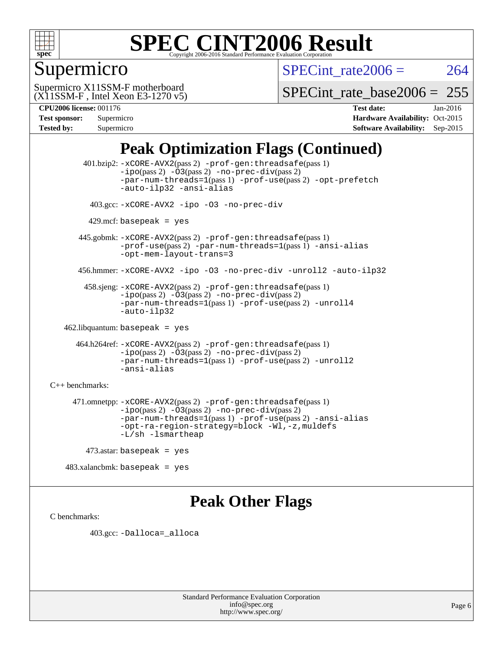

### Supermicro

SPECint rate $2006 = 264$ 

(X11SSM-F , Intel Xeon E3-1270 v5) Supermicro X11SSM-F motherboard

[SPECint\\_rate\\_base2006 =](http://www.spec.org/auto/cpu2006/Docs/result-fields.html#SPECintratebase2006) 255

| <b>Test sponsor:</b> | Supermicro |
|----------------------|------------|
| <b>Tested by:</b>    | Supermicro |

**[CPU2006 license:](http://www.spec.org/auto/cpu2006/Docs/result-fields.html#CPU2006license)** 001176 **[Test date:](http://www.spec.org/auto/cpu2006/Docs/result-fields.html#Testdate)** Jan-2016 **[Hardware Availability:](http://www.spec.org/auto/cpu2006/Docs/result-fields.html#HardwareAvailability)** Oct-2015 **[Software Availability:](http://www.spec.org/auto/cpu2006/Docs/result-fields.html#SoftwareAvailability)** Sep-2015

### **[Peak Optimization Flags \(Continued\)](http://www.spec.org/auto/cpu2006/Docs/result-fields.html#PeakOptimizationFlags)**

 401.bzip2: [-xCORE-AVX2](http://www.spec.org/cpu2006/results/res2016q1/cpu2006-20160111-38649.flags.html#user_peakPASS2_CFLAGSPASS2_LDCFLAGS401_bzip2_f-xAVX2_5f5fc0cbe2c9f62c816d3e45806c70d7)(pass 2) [-prof-gen:threadsafe](http://www.spec.org/cpu2006/results/res2016q1/cpu2006-20160111-38649.flags.html#user_peakPASS1_CFLAGSPASS1_LDCFLAGS401_bzip2_prof_gen_21a26eb79f378b550acd7bec9fe4467a)(pass 1)  $-i\text{po}(pass 2) -\text{O3}(pass 2)$  [-no-prec-div](http://www.spec.org/cpu2006/results/res2016q1/cpu2006-20160111-38649.flags.html#user_peakPASS2_CFLAGSPASS2_LDCFLAGS401_bzip2_f-no-prec-div)(pass 2) [-par-num-threads=1](http://www.spec.org/cpu2006/results/res2016q1/cpu2006-20160111-38649.flags.html#user_peakPASS1_CFLAGSPASS1_LDCFLAGS401_bzip2_par_num_threads_786a6ff141b4e9e90432e998842df6c2)(pass 1) [-prof-use](http://www.spec.org/cpu2006/results/res2016q1/cpu2006-20160111-38649.flags.html#user_peakPASS2_CFLAGSPASS2_LDCFLAGS401_bzip2_prof_use_bccf7792157ff70d64e32fe3e1250b55)(pass 2) [-opt-prefetch](http://www.spec.org/cpu2006/results/res2016q1/cpu2006-20160111-38649.flags.html#user_peakCOPTIMIZE401_bzip2_f-opt-prefetch) [-auto-ilp32](http://www.spec.org/cpu2006/results/res2016q1/cpu2006-20160111-38649.flags.html#user_peakCOPTIMIZE401_bzip2_f-auto-ilp32) [-ansi-alias](http://www.spec.org/cpu2006/results/res2016q1/cpu2006-20160111-38649.flags.html#user_peakCOPTIMIZE401_bzip2_f-ansi-alias) 403.gcc: [-xCORE-AVX2](http://www.spec.org/cpu2006/results/res2016q1/cpu2006-20160111-38649.flags.html#user_peakCOPTIMIZE403_gcc_f-xAVX2_5f5fc0cbe2c9f62c816d3e45806c70d7) [-ipo](http://www.spec.org/cpu2006/results/res2016q1/cpu2006-20160111-38649.flags.html#user_peakCOPTIMIZE403_gcc_f-ipo) [-O3](http://www.spec.org/cpu2006/results/res2016q1/cpu2006-20160111-38649.flags.html#user_peakCOPTIMIZE403_gcc_f-O3) [-no-prec-div](http://www.spec.org/cpu2006/results/res2016q1/cpu2006-20160111-38649.flags.html#user_peakCOPTIMIZE403_gcc_f-no-prec-div)  $429$ .mcf: basepeak = yes 445.gobmk: [-xCORE-AVX2](http://www.spec.org/cpu2006/results/res2016q1/cpu2006-20160111-38649.flags.html#user_peakPASS2_CFLAGSPASS2_LDCFLAGS445_gobmk_f-xAVX2_5f5fc0cbe2c9f62c816d3e45806c70d7)(pass 2) [-prof-gen:threadsafe](http://www.spec.org/cpu2006/results/res2016q1/cpu2006-20160111-38649.flags.html#user_peakPASS1_CFLAGSPASS1_LDCFLAGS445_gobmk_prof_gen_21a26eb79f378b550acd7bec9fe4467a)(pass 1) [-prof-use](http://www.spec.org/cpu2006/results/res2016q1/cpu2006-20160111-38649.flags.html#user_peakPASS2_CFLAGSPASS2_LDCFLAGS445_gobmk_prof_use_bccf7792157ff70d64e32fe3e1250b55)(pass 2) [-par-num-threads=1](http://www.spec.org/cpu2006/results/res2016q1/cpu2006-20160111-38649.flags.html#user_peakPASS1_CFLAGSPASS1_LDCFLAGS445_gobmk_par_num_threads_786a6ff141b4e9e90432e998842df6c2)(pass 1) [-ansi-alias](http://www.spec.org/cpu2006/results/res2016q1/cpu2006-20160111-38649.flags.html#user_peakCOPTIMIZE445_gobmk_f-ansi-alias) [-opt-mem-layout-trans=3](http://www.spec.org/cpu2006/results/res2016q1/cpu2006-20160111-38649.flags.html#user_peakCOPTIMIZE445_gobmk_f-opt-mem-layout-trans_a7b82ad4bd7abf52556d4961a2ae94d5) 456.hmmer: [-xCORE-AVX2](http://www.spec.org/cpu2006/results/res2016q1/cpu2006-20160111-38649.flags.html#user_peakCOPTIMIZE456_hmmer_f-xAVX2_5f5fc0cbe2c9f62c816d3e45806c70d7) [-ipo](http://www.spec.org/cpu2006/results/res2016q1/cpu2006-20160111-38649.flags.html#user_peakCOPTIMIZE456_hmmer_f-ipo) [-O3](http://www.spec.org/cpu2006/results/res2016q1/cpu2006-20160111-38649.flags.html#user_peakCOPTIMIZE456_hmmer_f-O3) [-no-prec-div](http://www.spec.org/cpu2006/results/res2016q1/cpu2006-20160111-38649.flags.html#user_peakCOPTIMIZE456_hmmer_f-no-prec-div) [-unroll2](http://www.spec.org/cpu2006/results/res2016q1/cpu2006-20160111-38649.flags.html#user_peakCOPTIMIZE456_hmmer_f-unroll_784dae83bebfb236979b41d2422d7ec2) [-auto-ilp32](http://www.spec.org/cpu2006/results/res2016q1/cpu2006-20160111-38649.flags.html#user_peakCOPTIMIZE456_hmmer_f-auto-ilp32) 458.sjeng: [-xCORE-AVX2](http://www.spec.org/cpu2006/results/res2016q1/cpu2006-20160111-38649.flags.html#user_peakPASS2_CFLAGSPASS2_LDCFLAGS458_sjeng_f-xAVX2_5f5fc0cbe2c9f62c816d3e45806c70d7)(pass 2) [-prof-gen:threadsafe](http://www.spec.org/cpu2006/results/res2016q1/cpu2006-20160111-38649.flags.html#user_peakPASS1_CFLAGSPASS1_LDCFLAGS458_sjeng_prof_gen_21a26eb79f378b550acd7bec9fe4467a)(pass 1)  $-i\text{po}(pass 2) -\overline{O}3(pass 2)$  [-no-prec-div](http://www.spec.org/cpu2006/results/res2016q1/cpu2006-20160111-38649.flags.html#user_peakPASS2_CFLAGSPASS2_LDCFLAGS458_sjeng_f-no-prec-div)(pass 2) [-par-num-threads=1](http://www.spec.org/cpu2006/results/res2016q1/cpu2006-20160111-38649.flags.html#user_peakPASS1_CFLAGSPASS1_LDCFLAGS458_sjeng_par_num_threads_786a6ff141b4e9e90432e998842df6c2)(pass 1) [-prof-use](http://www.spec.org/cpu2006/results/res2016q1/cpu2006-20160111-38649.flags.html#user_peakPASS2_CFLAGSPASS2_LDCFLAGS458_sjeng_prof_use_bccf7792157ff70d64e32fe3e1250b55)(pass 2) [-unroll4](http://www.spec.org/cpu2006/results/res2016q1/cpu2006-20160111-38649.flags.html#user_peakCOPTIMIZE458_sjeng_f-unroll_4e5e4ed65b7fd20bdcd365bec371b81f) [-auto-ilp32](http://www.spec.org/cpu2006/results/res2016q1/cpu2006-20160111-38649.flags.html#user_peakCOPTIMIZE458_sjeng_f-auto-ilp32) 462.libquantum: basepeak = yes 464.h264ref: [-xCORE-AVX2](http://www.spec.org/cpu2006/results/res2016q1/cpu2006-20160111-38649.flags.html#user_peakPASS2_CFLAGSPASS2_LDCFLAGS464_h264ref_f-xAVX2_5f5fc0cbe2c9f62c816d3e45806c70d7)(pass 2) [-prof-gen:threadsafe](http://www.spec.org/cpu2006/results/res2016q1/cpu2006-20160111-38649.flags.html#user_peakPASS1_CFLAGSPASS1_LDCFLAGS464_h264ref_prof_gen_21a26eb79f378b550acd7bec9fe4467a)(pass 1) [-ipo](http://www.spec.org/cpu2006/results/res2016q1/cpu2006-20160111-38649.flags.html#user_peakPASS2_CFLAGSPASS2_LDCFLAGS464_h264ref_f-ipo)(pass 2) [-O3](http://www.spec.org/cpu2006/results/res2016q1/cpu2006-20160111-38649.flags.html#user_peakPASS2_CFLAGSPASS2_LDCFLAGS464_h264ref_f-O3)(pass 2) [-no-prec-div](http://www.spec.org/cpu2006/results/res2016q1/cpu2006-20160111-38649.flags.html#user_peakPASS2_CFLAGSPASS2_LDCFLAGS464_h264ref_f-no-prec-div)(pass 2) [-par-num-threads=1](http://www.spec.org/cpu2006/results/res2016q1/cpu2006-20160111-38649.flags.html#user_peakPASS1_CFLAGSPASS1_LDCFLAGS464_h264ref_par_num_threads_786a6ff141b4e9e90432e998842df6c2)(pass 1) [-prof-use](http://www.spec.org/cpu2006/results/res2016q1/cpu2006-20160111-38649.flags.html#user_peakPASS2_CFLAGSPASS2_LDCFLAGS464_h264ref_prof_use_bccf7792157ff70d64e32fe3e1250b55)(pass 2) [-unroll2](http://www.spec.org/cpu2006/results/res2016q1/cpu2006-20160111-38649.flags.html#user_peakCOPTIMIZE464_h264ref_f-unroll_784dae83bebfb236979b41d2422d7ec2) [-ansi-alias](http://www.spec.org/cpu2006/results/res2016q1/cpu2006-20160111-38649.flags.html#user_peakCOPTIMIZE464_h264ref_f-ansi-alias) [C++ benchmarks:](http://www.spec.org/auto/cpu2006/Docs/result-fields.html#CXXbenchmarks) 471.omnetpp: [-xCORE-AVX2](http://www.spec.org/cpu2006/results/res2016q1/cpu2006-20160111-38649.flags.html#user_peakPASS2_CXXFLAGSPASS2_LDCXXFLAGS471_omnetpp_f-xAVX2_5f5fc0cbe2c9f62c816d3e45806c70d7)(pass 2) [-prof-gen:threadsafe](http://www.spec.org/cpu2006/results/res2016q1/cpu2006-20160111-38649.flags.html#user_peakPASS1_CXXFLAGSPASS1_LDCXXFLAGS471_omnetpp_prof_gen_21a26eb79f378b550acd7bec9fe4467a)(pass 1)  $-ipo(pass 2) -\overline{03(pass 2)}$  $-ipo(pass 2) -\overline{03(pass 2)}$  [-no-prec-div](http://www.spec.org/cpu2006/results/res2016q1/cpu2006-20160111-38649.flags.html#user_peakPASS2_CXXFLAGSPASS2_LDCXXFLAGS471_omnetpp_f-no-prec-div)(pass 2) [-par-num-threads=1](http://www.spec.org/cpu2006/results/res2016q1/cpu2006-20160111-38649.flags.html#user_peakPASS1_CXXFLAGSPASS1_LDCXXFLAGS471_omnetpp_par_num_threads_786a6ff141b4e9e90432e998842df6c2)(pass 1) [-prof-use](http://www.spec.org/cpu2006/results/res2016q1/cpu2006-20160111-38649.flags.html#user_peakPASS2_CXXFLAGSPASS2_LDCXXFLAGS471_omnetpp_prof_use_bccf7792157ff70d64e32fe3e1250b55)(pass 2) [-ansi-alias](http://www.spec.org/cpu2006/results/res2016q1/cpu2006-20160111-38649.flags.html#user_peakCXXOPTIMIZE471_omnetpp_f-ansi-alias) [-opt-ra-region-strategy=block](http://www.spec.org/cpu2006/results/res2016q1/cpu2006-20160111-38649.flags.html#user_peakCXXOPTIMIZE471_omnetpp_f-opt-ra-region-strategy_a0a37c372d03933b2a18d4af463c1f69) [-Wl,-z,muldefs](http://www.spec.org/cpu2006/results/res2016q1/cpu2006-20160111-38649.flags.html#user_peakEXTRA_LDFLAGS471_omnetpp_link_force_multiple1_74079c344b956b9658436fd1b6dd3a8a) [-L/sh -lsmartheap](http://www.spec.org/cpu2006/results/res2016q1/cpu2006-20160111-38649.flags.html#user_peakEXTRA_LIBS471_omnetpp_SmartHeap_32f6c82aa1ed9c52345d30cf6e4a0499) 473.astar: basepeak = yes

## **[Peak Other Flags](http://www.spec.org/auto/cpu2006/Docs/result-fields.html#PeakOtherFlags)**

[C benchmarks](http://www.spec.org/auto/cpu2006/Docs/result-fields.html#Cbenchmarks):

403.gcc: [-Dalloca=\\_alloca](http://www.spec.org/cpu2006/results/res2016q1/cpu2006-20160111-38649.flags.html#b403.gcc_peakEXTRA_CFLAGS_Dalloca_be3056838c12de2578596ca5467af7f3)

483.xalancbmk: basepeak = yes